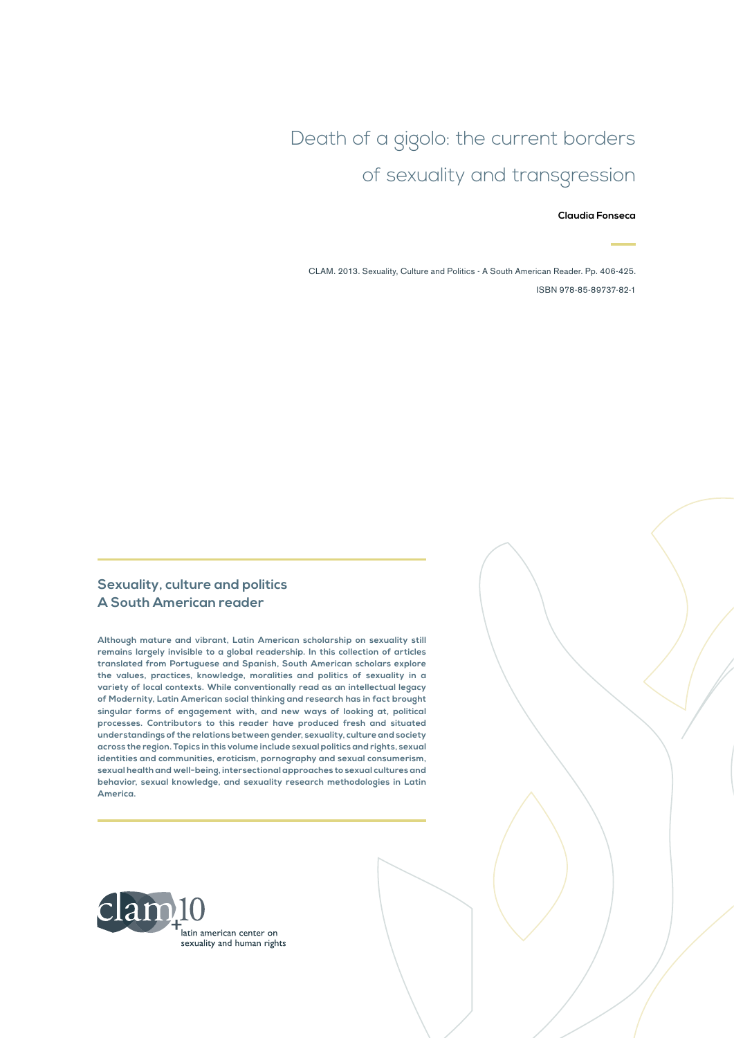# Death of a gigolo: the current borders of sexuality and transgression

#### **Claudia Fonseca**

CLAM. 2013. Sexuality, Culture and Politics - A South American Reader. Pp. 406-425. ISBN 978-85-89737-82-1

#### **Sexuality, culture and politics A South American reader**

**Although mature and vibrant, Latin American scholarship on sexuality still remains largely invisible to a global readership. In this collection of articles translated from Portuguese and Spanish, South American scholars explore the values, practices, knowledge, moralities and politics of sexuality in a variety of local contexts. While conventionally read as an intellectual legacy of Modernity, Latin American social thinking and research has in fact brought singular forms of engagement with, and new ways of looking at, political processes. Contributors to this reader have produced fresh and situated understandings of the relations between gender, sexuality, culture and society across the region. Topics in this volume include sexual politics and rights, sexual identities and communities, eroticism, pornography and sexual consumerism, sexual health and well-being, intersectional approaches to sexual cultures and behavior, sexual knowledge, and sexuality research methodologies in Latin America.**

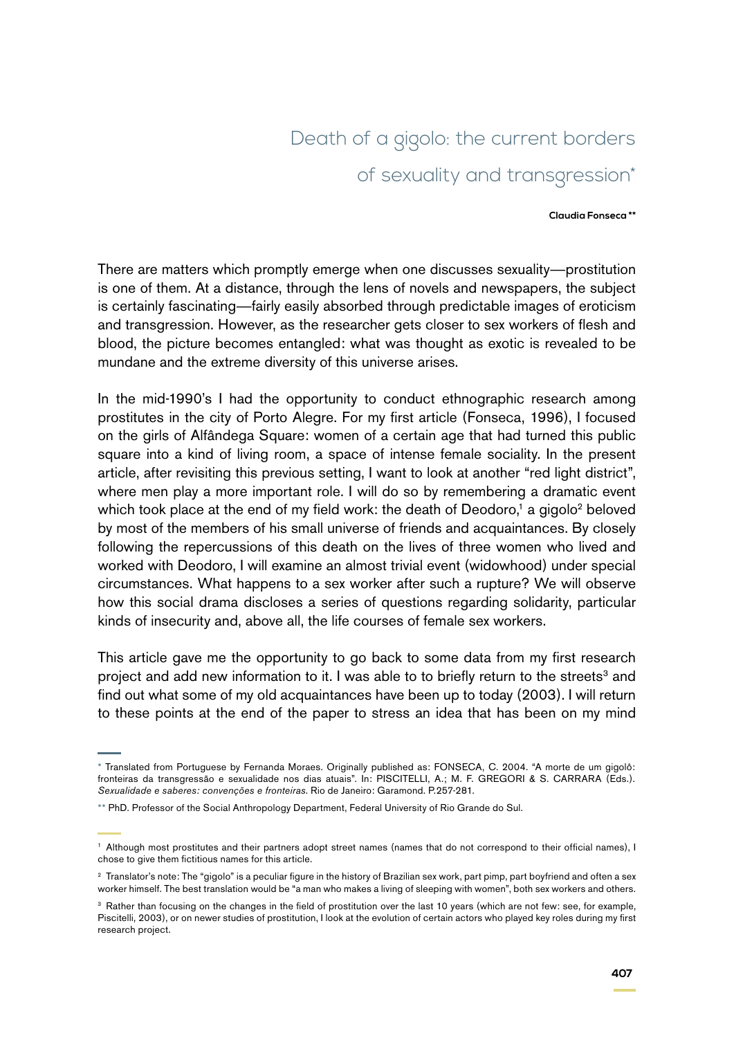# Death of a gigolo: the current borders of sexuality and transgression\*

#### **Claudia Fonseca \*\***

There are matters which promptly emerge when one discusses sexuality—prostitution is one of them. At a distance, through the lens of novels and newspapers, the subject is certainly fascinating—fairly easily absorbed through predictable images of eroticism and transgression. However, as the researcher gets closer to sex workers of flesh and blood, the picture becomes entangled: what was thought as exotic is revealed to be mundane and the extreme diversity of this universe arises.

In the mid-1990's I had the opportunity to conduct ethnographic research among prostitutes in the city of Porto Alegre. For my first article (Fonseca, 1996), I focused on the girls of Alfândega Square: women of a certain age that had turned this public square into a kind of living room, a space of intense female sociality. In the present article, after revisiting this previous setting, I want to look at another "red light district", where men play a more important role. I will do so by remembering a dramatic event which took place at the end of my field work: the death of Deodoro,<sup>1</sup> a gigolo<sup>2</sup> beloved by most of the members of his small universe of friends and acquaintances. By closely following the repercussions of this death on the lives of three women who lived and worked with Deodoro, I will examine an almost trivial event (widowhood) under special circumstances. What happens to a sex worker after such a rupture? We will observe how this social drama discloses a series of questions regarding solidarity, particular kinds of insecurity and, above all, the life courses of female sex workers.

This article gave me the opportunity to go back to some data from my first research project and add new information to it. I was able to to briefly return to the streets<sup>3</sup> and find out what some of my old acquaintances have been up to today (2003). I will return to these points at the end of the paper to stress an idea that has been on my mind

<sup>\*</sup> Translated from Portuguese by Fernanda Moraes. Originally published as: FONSECA, C. 2004. "A morte de um gigolô: fronteiras da transgressão e sexualidade nos dias atuais". In: PISCITELLI, A.; M. F. GREGORI & S. CARRARA (Eds.). *Sexualidade e saberes: convenções e fronteiras*. Rio de Janeiro: Garamond. P.257-281.

<sup>\*\*</sup> PhD. Professor of the Social Anthropology Department, Federal University of Rio Grande do Sul.

<sup>1</sup> Although most prostitutes and their partners adopt street names (names that do not correspond to their official names), I chose to give them fictitious names for this article.

<sup>&</sup>lt;sup>2</sup> Translator's note: The "gigolo" is a peculiar figure in the history of Brazilian sex work, part pimp, part boyfriend and often a sex worker himself. The best translation would be "a man who makes a living of sleeping with women", both sex workers and others.

<sup>&</sup>lt;sup>3</sup> Rather than focusing on the changes in the field of prostitution over the last 10 years (which are not few: see, for example, Piscitelli, 2003), or on newer studies of prostitution, I look at the evolution of certain actors who played key roles during my first research project.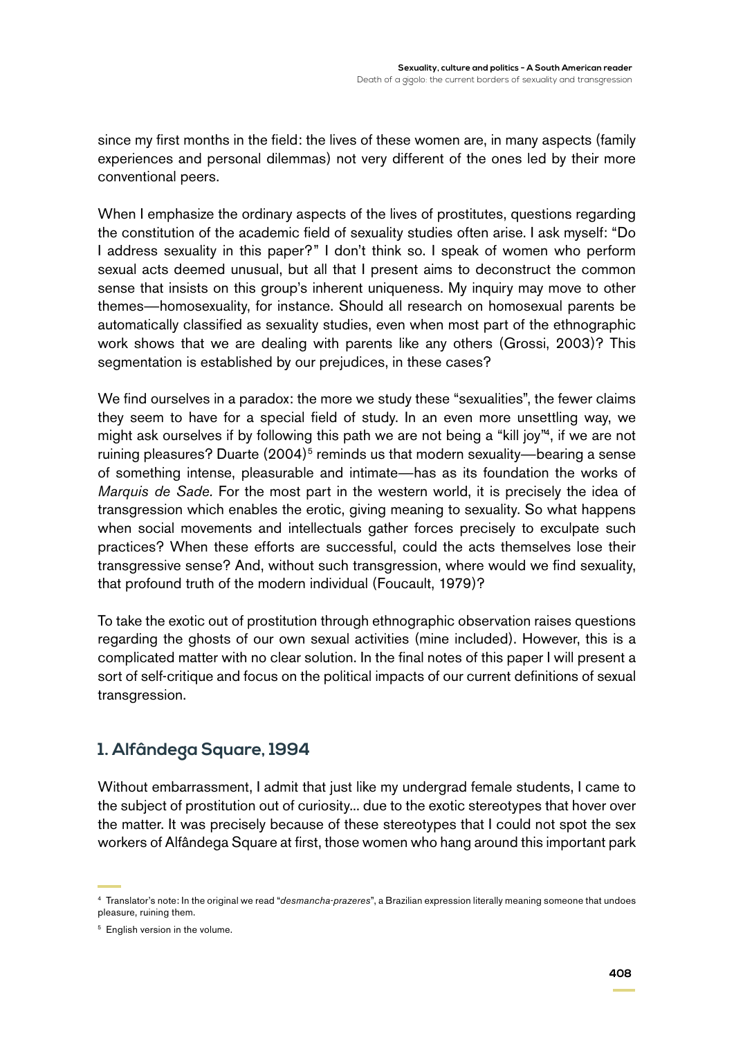since my first months in the field: the lives of these women are, in many aspects (family experiences and personal dilemmas) not very different of the ones led by their more conventional peers.

When I emphasize the ordinary aspects of the lives of prostitutes, questions regarding the constitution of the academic field of sexuality studies often arise. I ask myself: "Do I address sexuality in this paper?" I don't think so. I speak of women who perform sexual acts deemed unusual, but all that I present aims to deconstruct the common sense that insists on this group's inherent uniqueness. My inquiry may move to other themes—homosexuality, for instance. Should all research on homosexual parents be automatically classified as sexuality studies, even when most part of the ethnographic work shows that we are dealing with parents like any others (Grossi, 2003)? This segmentation is established by our prejudices, in these cases?

We find ourselves in a paradox: the more we study these "sexualities", the fewer claims they seem to have for a special field of study. In an even more unsettling way, we might ask ourselves if by following this path we are not being a "kill joy"4, if we are not ruining pleasures? Duarte  $(2004)^5$  reminds us that modern sexuality—bearing a sense of something intense, pleasurable and intimate—has as its foundation the works of *Marquis de Sade.* For the most part in the western world, it is precisely the idea of transgression which enables the erotic, giving meaning to sexuality. So what happens when social movements and intellectuals gather forces precisely to exculpate such practices? When these efforts are successful, could the acts themselves lose their transgressive sense? And, without such transgression, where would we find sexuality, that profound truth of the modern individual (Foucault, 1979)?

To take the exotic out of prostitution through ethnographic observation raises questions regarding the ghosts of our own sexual activities (mine included). However, this is a complicated matter with no clear solution. In the final notes of this paper I will present a sort of self-critique and focus on the political impacts of our current definitions of sexual transgression.

## **1. Alfândega Square, 1994**

Without embarrassment, I admit that just like my undergrad female students, I came to the subject of prostitution out of curiosity... due to the exotic stereotypes that hover over the matter. It was precisely because of these stereotypes that I could not spot the sex workers of Alfândega Square at first, those women who hang around this important park

<sup>4</sup> Translator's note: In the original we read "*desmancha-prazeres*", a Brazilian expression literally meaning someone that undoes pleasure, ruining them.

<sup>&</sup>lt;sup>5</sup> English version in the volume.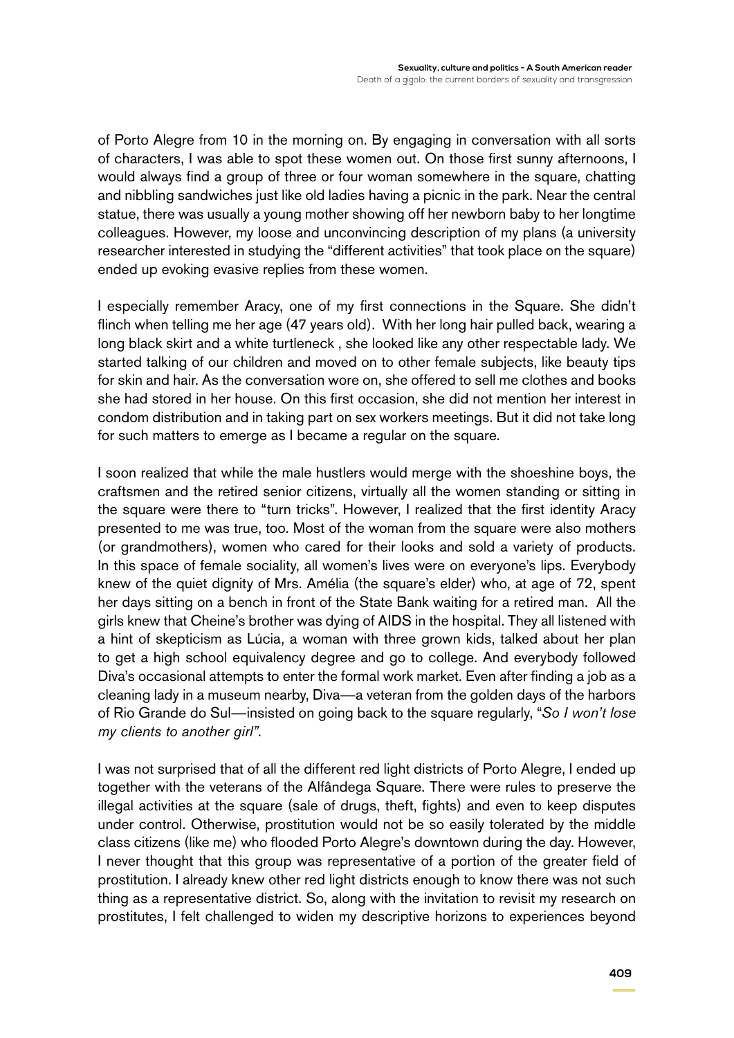of Porto Alegre from 10 in the morning on. By engaging in conversation with all sorts of characters, I was able to spot these women out. On those first sunny afternoons, I would always find a group of three or four woman somewhere in the square, chatting and nibbling sandwiches just like old ladies having a picnic in the park. Near the central statue, there was usually a young mother showing off her newborn baby to her longtime colleagues. However, my loose and unconvincing description of my plans (a university researcher interested in studying the "different activities" that took place on the square) ended up evoking evasive replies from these women.

I especially remember Aracy, one of my first connections in the Square. She didn't flinch when telling me her age (47 years old). With her long hair pulled back, wearing a long black skirt and a white turtleneck , she looked like any other respectable lady. We started talking of our children and moved on to other female subjects, like beauty tips for skin and hair. As the conversation wore on, she offered to sell me clothes and books she had stored in her house. On this first occasion, she did not mention her interest in condom distribution and in taking part on sex workers meetings. But it did not take long for such matters to emerge as I became a regular on the square.

I soon realized that while the male hustlers would merge with the shoeshine boys, the craftsmen and the retired senior citizens, virtually all the women standing or sitting in the square were there to "turn tricks". However, I realized that the first identity Aracy presented to me was true, too. Most of the woman from the square were also mothers (or grandmothers), women who cared for their looks and sold a variety of products. In this space of female sociality, all women's lives were on everyone's lips. Everybody knew of the quiet dignity of Mrs. Amélia (the square's elder) who, at age of 72, spent her days sitting on a bench in front of the State Bank waiting for a retired man. All the girls knew that Cheine's brother was dying of AIDS in the hospital. They all listened with a hint of skepticism as Lúcia, a woman with three grown kids, talked about her plan to get a high school equivalency degree and go to college. And everybody followed Diva's occasional attempts to enter the formal work market. Even after finding a job as a cleaning lady in a museum nearby, Diva—a veteran from the golden days of the harbors of Rio Grande do Sul—insisted on going back to the square regularly, "*So I won't lose my clients to another girl".*

I was not surprised that of all the different red light districts of Porto Alegre, I ended up together with the veterans of the Alfândega Square. There were rules to preserve the illegal activities at the square (sale of drugs, theft, fights) and even to keep disputes under control. Otherwise, prostitution would not be so easily tolerated by the middle class citizens (like me) who flooded Porto Alegre's downtown during the day. However, I never thought that this group was representative of a portion of the greater field of prostitution. I already knew other red light districts enough to know there was not such thing as a representative district. So, along with the invitation to revisit my research on prostitutes, I felt challenged to widen my descriptive horizons to experiences beyond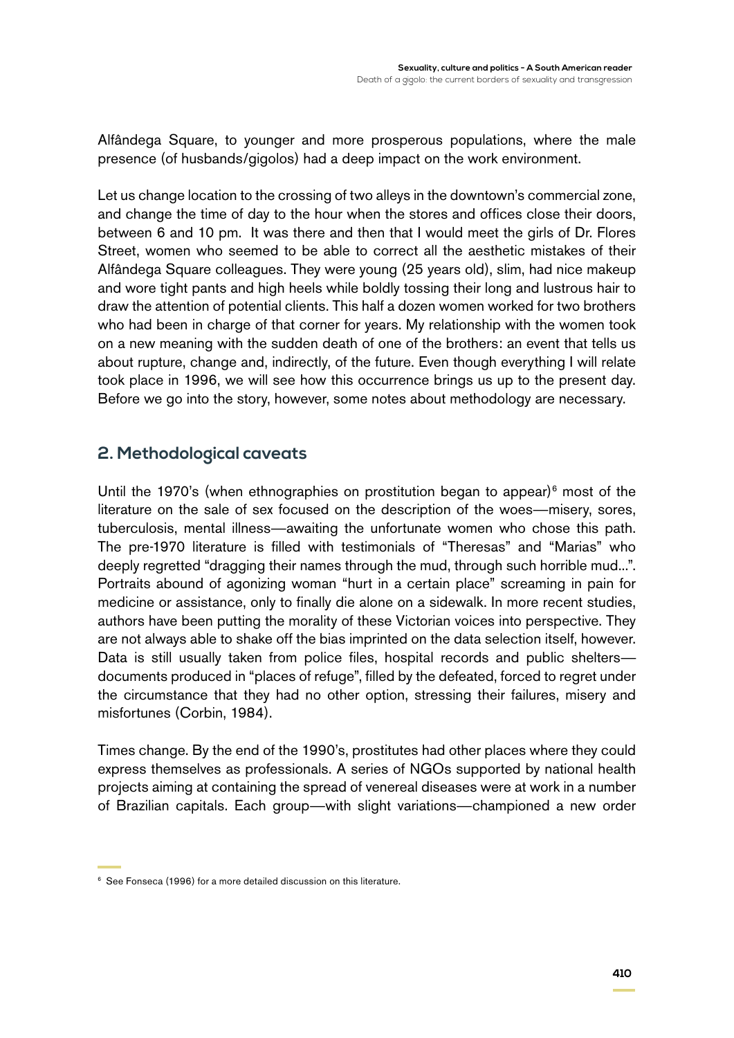Alfândega Square, to younger and more prosperous populations, where the male presence (of husbands/gigolos) had a deep impact on the work environment.

Let us change location to the crossing of two alleys in the downtown's commercial zone, and change the time of day to the hour when the stores and offices close their doors, between 6 and 10 pm. It was there and then that I would meet the girls of Dr. Flores Street, women who seemed to be able to correct all the aesthetic mistakes of their Alfândega Square colleagues. They were young (25 years old), slim, had nice makeup and wore tight pants and high heels while boldly tossing their long and lustrous hair to draw the attention of potential clients. This half a dozen women worked for two brothers who had been in charge of that corner for years. My relationship with the women took on a new meaning with the sudden death of one of the brothers: an event that tells us about rupture, change and, indirectly, of the future. Even though everything I will relate took place in 1996, we will see how this occurrence brings us up to the present day. Before we go into the story, however, some notes about methodology are necessary.

## **2. Methodological caveats**

Until the 1970's (when ethnographies on prostitution began to appear) $6 \text{ most of the}$ literature on the sale of sex focused on the description of the woes—misery, sores, tuberculosis, mental illness—awaiting the unfortunate women who chose this path. The pre-1970 literature is filled with testimonials of "Theresas" and "Marias" who deeply regretted "dragging their names through the mud, through such horrible mud...". Portraits abound of agonizing woman "hurt in a certain place" screaming in pain for medicine or assistance, only to finally die alone on a sidewalk. In more recent studies, authors have been putting the morality of these Victorian voices into perspective. They are not always able to shake off the bias imprinted on the data selection itself, however. Data is still usually taken from police files, hospital records and public sheltersdocuments produced in "places of refuge", filled by the defeated, forced to regret under the circumstance that they had no other option, stressing their failures, misery and misfortunes (Corbin, 1984).

Times change. By the end of the 1990's, prostitutes had other places where they could express themselves as professionals. A series of NGOs supported by national health projects aiming at containing the spread of venereal diseases were at work in a number of Brazilian capitals. Each group—with slight variations—championed a new order

<sup>&</sup>lt;sup>6</sup> See Fonseca (1996) for a more detailed discussion on this literature.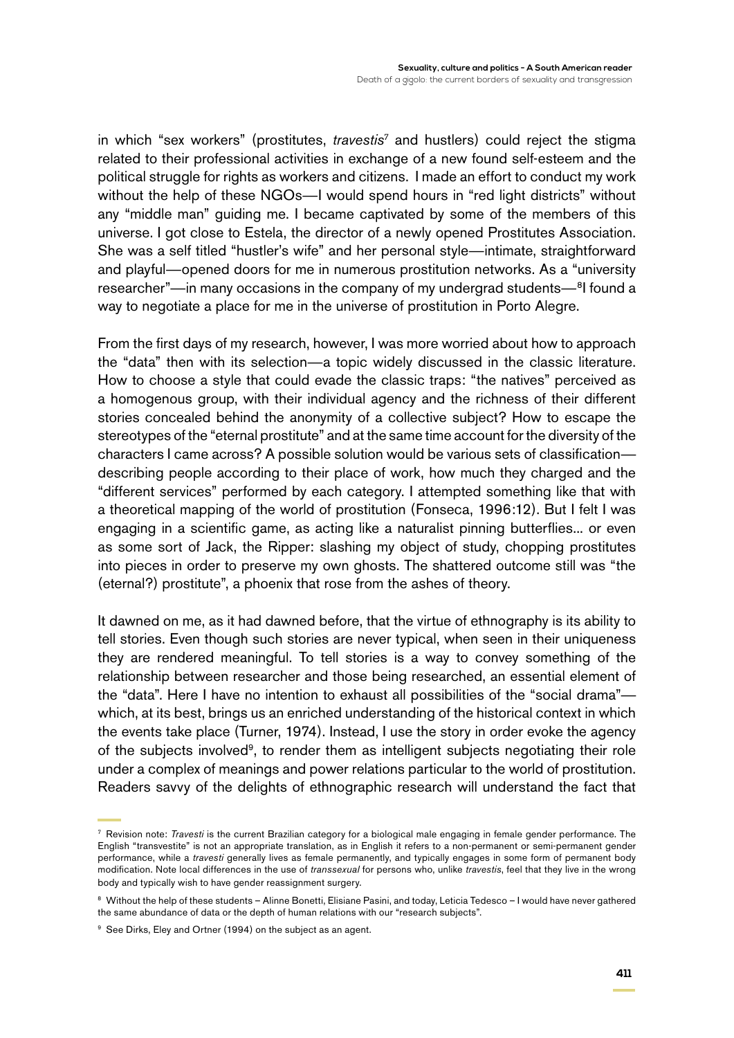in which "sex workers" (prostitutes, *travestis7* and hustlers) could reject the stigma related to their professional activities in exchange of a new found self-esteem and the political struggle for rights as workers and citizens. I made an effort to conduct my work without the help of these NGOs—I would spend hours in "red light districts" without any "middle man" guiding me. I became captivated by some of the members of this universe. I got close to Estela, the director of a newly opened Prostitutes Association. She was a self titled "hustler's wife" and her personal style—intimate, straightforward and playful—opened doors for me in numerous prostitution networks. As a "university researcher"—in many occasions in the company of my undergrad students—<sup>8</sup>I found a way to negotiate a place for me in the universe of prostitution in Porto Alegre.

From the first days of my research, however, I was more worried about how to approach the "data" then with its selection—a topic widely discussed in the classic literature. How to choose a style that could evade the classic traps: "the natives" perceived as a homogenous group, with their individual agency and the richness of their different stories concealed behind the anonymity of a collective subject? How to escape the stereotypes of the "eternal prostitute" and at the same time account for the diversity of the characters I came across? A possible solution would be various sets of classification describing people according to their place of work, how much they charged and the "different services" performed by each category. I attempted something like that with a theoretical mapping of the world of prostitution (Fonseca, 1996:12). But I felt I was engaging in a scientific game, as acting like a naturalist pinning butterflies... or even as some sort of Jack, the Ripper: slashing my object of study, chopping prostitutes into pieces in order to preserve my own ghosts. The shattered outcome still was "the (eternal?) prostitute", a phoenix that rose from the ashes of theory.

It dawned on me, as it had dawned before, that the virtue of ethnography is its ability to tell stories. Even though such stories are never typical, when seen in their uniqueness they are rendered meaningful. To tell stories is a way to convey something of the relationship between researcher and those being researched, an essential element of the "data". Here I have no intention to exhaust all possibilities of the "social drama" which, at its best, brings us an enriched understanding of the historical context in which the events take place (Turner, 1974). Instead, I use the story in order evoke the agency of the subjects involved<sup>9</sup>, to render them as intelligent subjects negotiating their role under a complex of meanings and power relations particular to the world of prostitution. Readers savvy of the delights of ethnographic research will understand the fact that

<sup>7</sup> Revision note: *Travesti* is the current Brazilian category for a biological male engaging in female gender performance. The English "transvestite" is not an appropriate translation, as in English it refers to a non-permanent or semi-permanent gender performance, while a *travesti* generally lives as female permanently, and typically engages in some form of permanent body modification. Note local differences in the use of *transsexual* for persons who, unlike *travestis*, feel that they live in the wrong body and typically wish to have gender reassignment surgery.

<sup>8</sup> Without the help of these students – Alinne Bonetti, Elisiane Pasini, and today, Leticia Tedesco – I would have never gathered the same abundance of data or the depth of human relations with our "research subjects".

<sup>&</sup>lt;sup>9</sup> See Dirks, Eley and Ortner (1994) on the subject as an agent.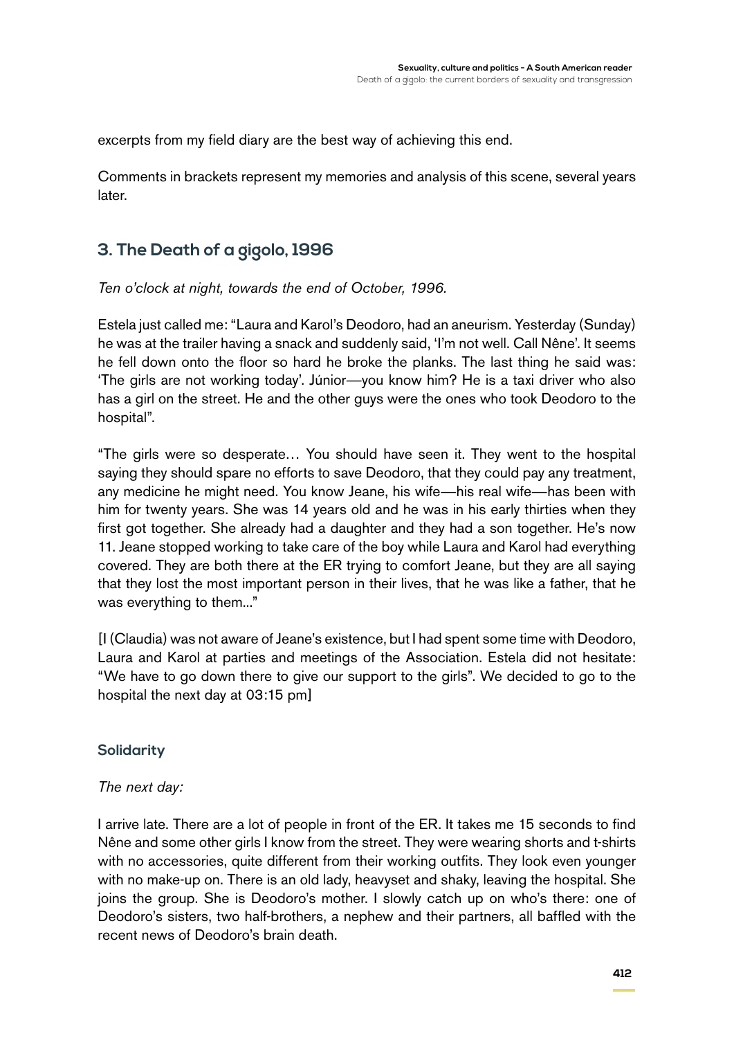excerpts from my field diary are the best way of achieving this end.

Comments in brackets represent my memories and analysis of this scene, several years later.

## **3. The Death of a gigolo, 1996**

*Ten o'clock at night, towards the end of October, 1996.*

Estela just called me: "Laura and Karol's Deodoro, had an aneurism. Yesterday (Sunday) he was at the trailer having a snack and suddenly said, 'I'm not well. Call Nêne'. It seems he fell down onto the floor so hard he broke the planks. The last thing he said was: 'The girls are not working today'. Júnior—you know him? He is a taxi driver who also has a girl on the street. He and the other guys were the ones who took Deodoro to the hospital".

"The girls were so desperate… You should have seen it. They went to the hospital saying they should spare no efforts to save Deodoro, that they could pay any treatment, any medicine he might need. You know Jeane, his wife—his real wife—has been with him for twenty years. She was 14 years old and he was in his early thirties when they first got together. She already had a daughter and they had a son together. He's now 11. Jeane stopped working to take care of the boy while Laura and Karol had everything covered. They are both there at the ER trying to comfort Jeane, but they are all saying that they lost the most important person in their lives, that he was like a father, that he was everything to them..."

[I (Claudia) was not aware of Jeane's existence, but I had spent some time with Deodoro, Laura and Karol at parties and meetings of the Association. Estela did not hesitate: "We have to go down there to give our support to the girls". We decided to go to the hospital the next day at 03:15 pm]

#### **Solidarity**

#### *The next day:*

I arrive late. There are a lot of people in front of the ER. It takes me 15 seconds to find Nêne and some other girls I know from the street. They were wearing shorts and t-shirts with no accessories, quite different from their working outfits. They look even younger with no make-up on. There is an old lady, heavyset and shaky, leaving the hospital. She joins the group. She is Deodoro's mother. I slowly catch up on who's there: one of Deodoro's sisters, two half-brothers, a nephew and their partners, all baffled with the recent news of Deodoro's brain death.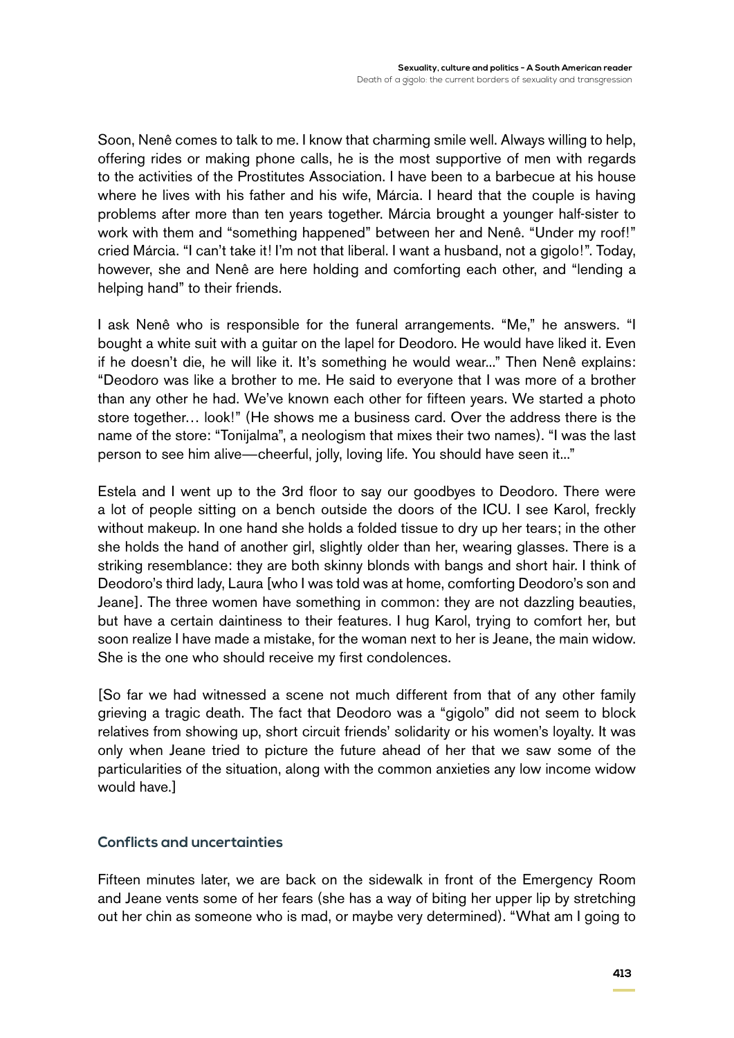Soon, Nenê comes to talk to me. I know that charming smile well. Always willing to help, offering rides or making phone calls, he is the most supportive of men with regards to the activities of the Prostitutes Association. I have been to a barbecue at his house where he lives with his father and his wife, Márcia. I heard that the couple is having problems after more than ten years together. Márcia brought a younger half-sister to work with them and "something happened" between her and Nenê. "Under my roof!" cried Márcia. "I can't take it! I'm not that liberal. I want a husband, not a gigolo!". Today, however, she and Nenê are here holding and comforting each other, and "lending a helping hand" to their friends.

I ask Nenê who is responsible for the funeral arrangements. "Me," he answers. "I bought a white suit with a guitar on the lapel for Deodoro. He would have liked it. Even if he doesn't die, he will like it. It's something he would wear..." Then Nenê explains: "Deodoro was like a brother to me. He said to everyone that I was more of a brother than any other he had. We've known each other for fifteen years. We started a photo store together… look!" (He shows me a business card. Over the address there is the name of the store: "Tonijalma", a neologism that mixes their two names). "I was the last person to see him alive—cheerful, jolly, loving life. You should have seen it..."

Estela and I went up to the 3rd floor to say our goodbyes to Deodoro. There were a lot of people sitting on a bench outside the doors of the ICU. I see Karol, freckly without makeup. In one hand she holds a folded tissue to dry up her tears; in the other she holds the hand of another girl, slightly older than her, wearing glasses. There is a striking resemblance: they are both skinny blonds with bangs and short hair. I think of Deodoro's third lady, Laura [who I was told was at home, comforting Deodoro's son and Jeane]. The three women have something in common: they are not dazzling beauties, but have a certain daintiness to their features. I hug Karol, trying to comfort her, but soon realize I have made a mistake, for the woman next to her is Jeane, the main widow. She is the one who should receive my first condolences.

[So far we had witnessed a scene not much different from that of any other family grieving a tragic death. The fact that Deodoro was a "gigolo" did not seem to block relatives from showing up, short circuit friends' solidarity or his women's loyalty. It was only when Jeane tried to picture the future ahead of her that we saw some of the particularities of the situation, along with the common anxieties any low income widow would have.]

#### **Conflicts and uncertainties**

Fifteen minutes later, we are back on the sidewalk in front of the Emergency Room and Jeane vents some of her fears (she has a way of biting her upper lip by stretching out her chin as someone who is mad, or maybe very determined). "What am I going to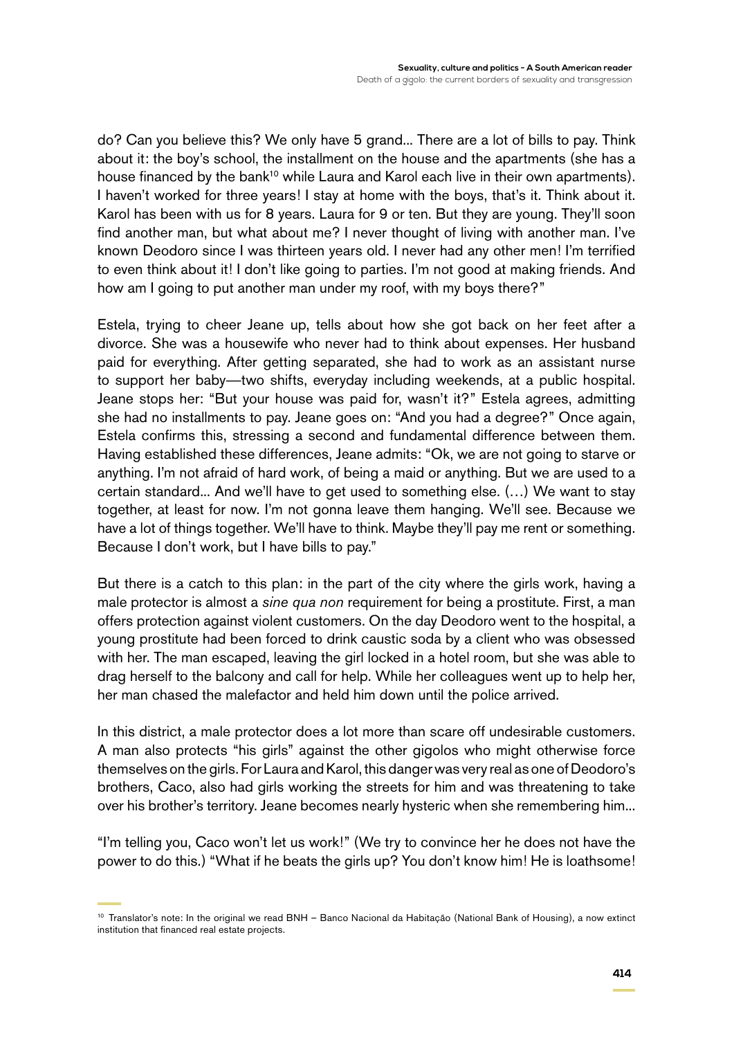do? Can you believe this? We only have 5 grand... There are a lot of bills to pay. Think about it: the boy's school, the installment on the house and the apartments (she has a house financed by the bank<sup>10</sup> while Laura and Karol each live in their own apartments). I haven't worked for three years! I stay at home with the boys, that's it. Think about it. Karol has been with us for 8 years. Laura for 9 or ten. But they are young. They'll soon find another man, but what about me? I never thought of living with another man. I've known Deodoro since I was thirteen years old. I never had any other men! I'm terrified to even think about it! I don't like going to parties. I'm not good at making friends. And how am I going to put another man under my roof, with my boys there?"

Estela, trying to cheer Jeane up, tells about how she got back on her feet after a divorce. She was a housewife who never had to think about expenses. Her husband paid for everything. After getting separated, she had to work as an assistant nurse to support her baby—two shifts, everyday including weekends, at a public hospital. Jeane stops her: "But your house was paid for, wasn't it?" Estela agrees, admitting she had no installments to pay. Jeane goes on: "And you had a degree?" Once again, Estela confirms this, stressing a second and fundamental difference between them. Having established these differences, Jeane admits: "Ok, we are not going to starve or anything. I'm not afraid of hard work, of being a maid or anything. But we are used to a certain standard... And we'll have to get used to something else. (…) We want to stay together, at least for now. I'm not gonna leave them hanging. We'll see. Because we have a lot of things together. We'll have to think. Maybe they'll pay me rent or something. Because I don't work, but I have bills to pay."

But there is a catch to this plan: in the part of the city where the girls work, having a male protector is almost a *sine qua non* requirement for being a prostitute. First, a man offers protection against violent customers. On the day Deodoro went to the hospital, a young prostitute had been forced to drink caustic soda by a client who was obsessed with her. The man escaped, leaving the girl locked in a hotel room, but she was able to drag herself to the balcony and call for help. While her colleagues went up to help her, her man chased the malefactor and held him down until the police arrived.

In this district, a male protector does a lot more than scare off undesirable customers. A man also protects "his girls" against the other gigolos who might otherwise force themselves on the girls. For Laura and Karol, this danger was very real as one of Deodoro's brothers, Caco, also had girls working the streets for him and was threatening to take over his brother's territory. Jeane becomes nearly hysteric when she remembering him...

"I'm telling you, Caco won't let us work!" (We try to convince her he does not have the power to do this.) "What if he beats the girls up? You don't know him! He is loathsome!

<sup>&</sup>lt;sup>10</sup> Translator's note: In the original we read BNH - Banco Nacional da Habitação (National Bank of Housing), a now extinct institution that financed real estate projects.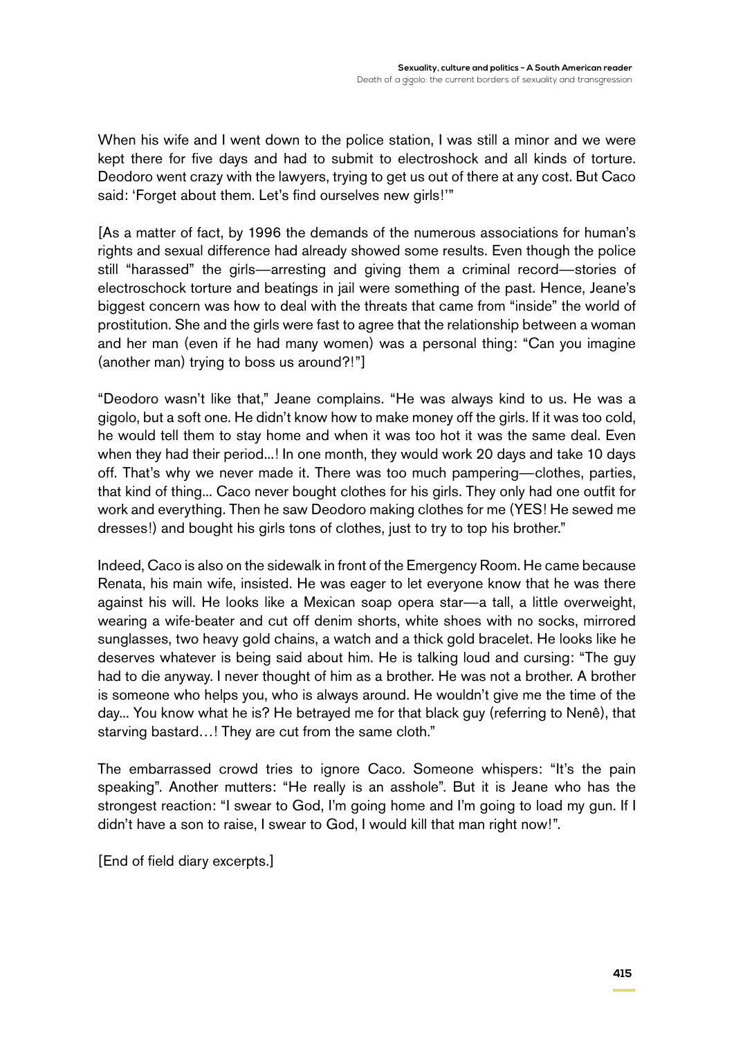When his wife and I went down to the police station, I was still a minor and we were kept there for five days and had to submit to electroshock and all kinds of torture. Deodoro went crazy with the lawyers, trying to get us out of there at any cost. But Caco said: 'Forget about them. Let's find ourselves new girls!'"

[As a matter of fact, by 1996 the demands of the numerous associations for human's rights and sexual difference had already showed some results. Even though the police still "harassed" the girls—arresting and giving them a criminal record—stories of electroschock torture and beatings in jail were something of the past. Hence, Jeane's biggest concern was how to deal with the threats that came from "inside" the world of prostitution. She and the girls were fast to agree that the relationship between a woman and her man (even if he had many women) was a personal thing: "Can you imagine (another man) trying to boss us around?!"]

"Deodoro wasn't like that," Jeane complains. "He was always kind to us. He was a gigolo, but a soft one. He didn't know how to make money off the girls. If it was too cold, he would tell them to stay home and when it was too hot it was the same deal. Even when they had their period...! In one month, they would work 20 days and take 10 days off. That's why we never made it. There was too much pampering—clothes, parties, that kind of thing... Caco never bought clothes for his girls. They only had one outfit for work and everything. Then he saw Deodoro making clothes for me (YES! He sewed me dresses!) and bought his girls tons of clothes, just to try to top his brother."

Indeed, Caco is also on the sidewalk in front of the Emergency Room. He came because Renata, his main wife, insisted. He was eager to let everyone know that he was there against his will. He looks like a Mexican soap opera star—a tall, a little overweight, wearing a wife-beater and cut off denim shorts, white shoes with no socks, mirrored sunglasses, two heavy gold chains, a watch and a thick gold bracelet. He looks like he deserves whatever is being said about him. He is talking loud and cursing: "The guy had to die anyway. I never thought of him as a brother. He was not a brother. A brother is someone who helps you, who is always around. He wouldn't give me the time of the day... You know what he is? He betrayed me for that black guy (referring to Nenê), that starving bastard…! They are cut from the same cloth."

The embarrassed crowd tries to ignore Caco. Someone whispers: "It's the pain speaking". Another mutters: "He really is an asshole". But it is Jeane who has the strongest reaction: "I swear to God, I'm going home and I'm going to load my gun. If I didn't have a son to raise, I swear to God, I would kill that man right now!".

[End of field diary excerpts.]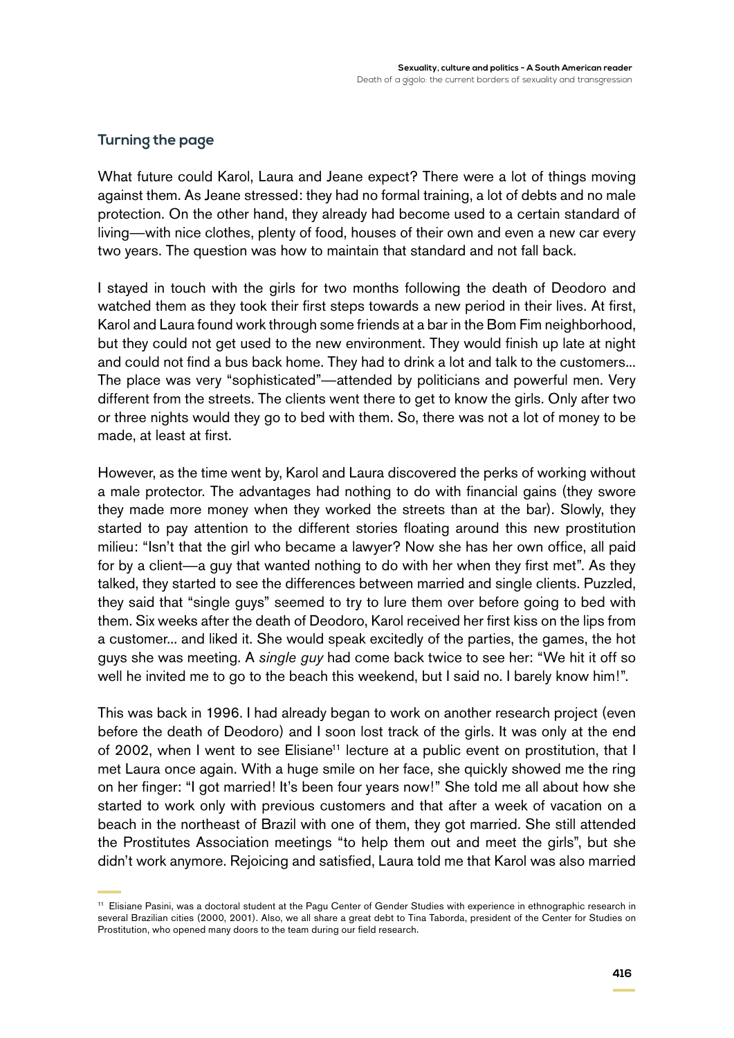#### **Turning the page**

What future could Karol, Laura and Jeane expect? There were a lot of things moving against them. As Jeane stressed: they had no formal training, a lot of debts and no male protection. On the other hand, they already had become used to a certain standard of living—with nice clothes, plenty of food, houses of their own and even a new car every two years. The question was how to maintain that standard and not fall back.

I stayed in touch with the girls for two months following the death of Deodoro and watched them as they took their first steps towards a new period in their lives. At first, Karol and Laura found work through some friends at a bar in the Bom Fim neighborhood, but they could not get used to the new environment. They would finish up late at night and could not find a bus back home. They had to drink a lot and talk to the customers... The place was very "sophisticated"—attended by politicians and powerful men. Very different from the streets. The clients went there to get to know the girls. Only after two or three nights would they go to bed with them. So, there was not a lot of money to be made, at least at first.

However, as the time went by, Karol and Laura discovered the perks of working without a male protector. The advantages had nothing to do with financial gains (they swore they made more money when they worked the streets than at the bar). Slowly, they started to pay attention to the different stories floating around this new prostitution milieu: "Isn't that the girl who became a lawyer? Now she has her own office, all paid for by a client—a guy that wanted nothing to do with her when they first met". As they talked, they started to see the differences between married and single clients. Puzzled, they said that "single guys" seemed to try to lure them over before going to bed with them. Six weeks after the death of Deodoro, Karol received her first kiss on the lips from a customer... and liked it. She would speak excitedly of the parties, the games, the hot guys she was meeting. A *single guy* had come back twice to see her: "We hit it off so well he invited me to go to the beach this weekend, but I said no. I barely know him!".

This was back in 1996. I had already began to work on another research project (even before the death of Deodoro) and I soon lost track of the girls. It was only at the end of 2002, when I went to see Elisiane<sup>11</sup> lecture at a public event on prostitution, that I met Laura once again. With a huge smile on her face, she quickly showed me the ring on her finger: "I got married! It's been four years now!" She told me all about how she started to work only with previous customers and that after a week of vacation on a beach in the northeast of Brazil with one of them, they got married. She still attended the Prostitutes Association meetings "to help them out and meet the girls", but she didn't work anymore. Rejoicing and satisfied, Laura told me that Karol was also married

<sup>11</sup> Elisiane Pasini, was a doctoral student at the Pagu Center of Gender Studies with experience in ethnographic research in several Brazilian cities (2000, 2001). Also, we all share a great debt to Tina Taborda, president of the Center for Studies on Prostitution, who opened many doors to the team during our field research.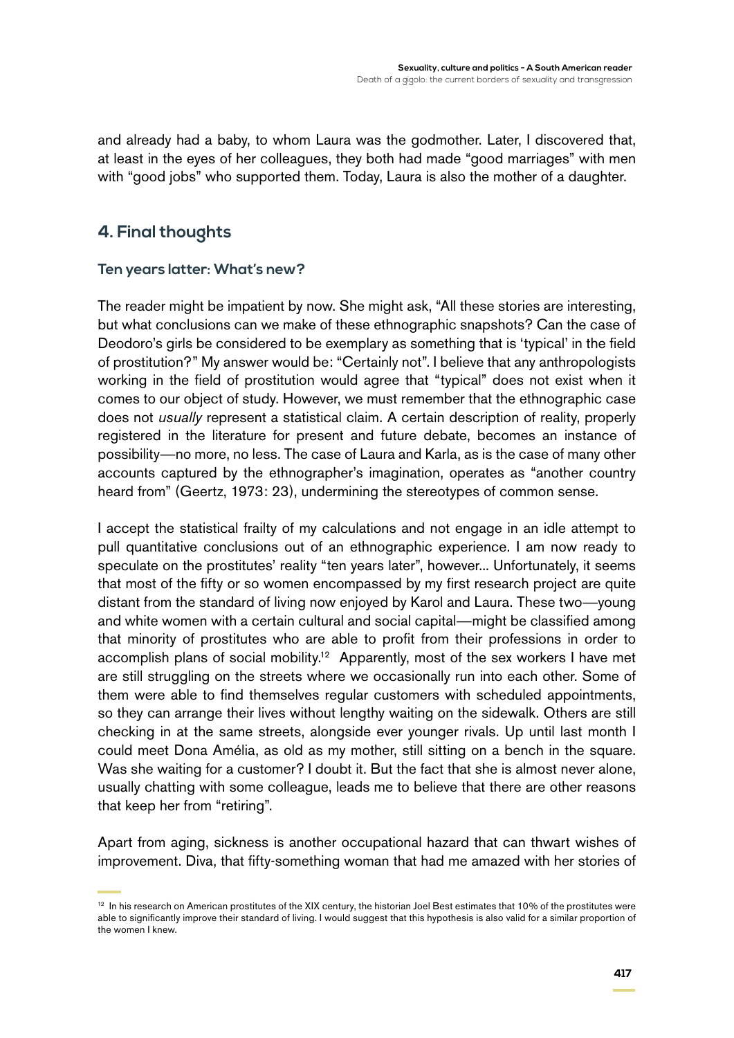and already had a baby, to whom Laura was the godmother. Later, I discovered that, at least in the eyes of her colleagues, they both had made "good marriages" with men with "good jobs" who supported them. Today, Laura is also the mother of a daughter.

## **4. Final thoughts**

#### **Ten years latter: What's new?**

The reader might be impatient by now. She might ask, "All these stories are interesting, but what conclusions can we make of these ethnographic snapshots? Can the case of Deodoro's girls be considered to be exemplary as something that is 'typical' in the field of prostitution?" My answer would be: "Certainly not". I believe that any anthropologists working in the field of prostitution would agree that "typical" does not exist when it comes to our object of study. However, we must remember that the ethnographic case does not *usually* represent a statistical claim. A certain description of reality, properly registered in the literature for present and future debate, becomes an instance of possibility—no more, no less. The case of Laura and Karla, as is the case of many other accounts captured by the ethnographer's imagination, operates as "another country heard from" (Geertz, 1973: 23), undermining the stereotypes of common sense.

I accept the statistical frailty of my calculations and not engage in an idle attempt to pull quantitative conclusions out of an ethnographic experience. I am now ready to speculate on the prostitutes' reality "ten years later", however... Unfortunately, it seems that most of the fifty or so women encompassed by my first research project are quite distant from the standard of living now enjoyed by Karol and Laura. These two—young and white women with a certain cultural and social capital—might be classified among that minority of prostitutes who are able to profit from their professions in order to accomplish plans of social mobility.<sup>12</sup> Apparently, most of the sex workers I have met are still struggling on the streets where we occasionally run into each other. Some of them were able to find themselves regular customers with scheduled appointments, so they can arrange their lives without lengthy waiting on the sidewalk. Others are still checking in at the same streets, alongside ever younger rivals. Up until last month I could meet Dona Amélia, as old as my mother, still sitting on a bench in the square. Was she waiting for a customer? I doubt it. But the fact that she is almost never alone, usually chatting with some colleague, leads me to believe that there are other reasons that keep her from "retiring".

Apart from aging, sickness is another occupational hazard that can thwart wishes of improvement. Diva, that fifty-something woman that had me amazed with her stories of

<sup>&</sup>lt;sup>12</sup> In his research on American prostitutes of the XIX century, the historian Joel Best estimates that 10% of the prostitutes were able to significantly improve their standard of living. I would suggest that this hypothesis is also valid for a similar proportion of the women I knew.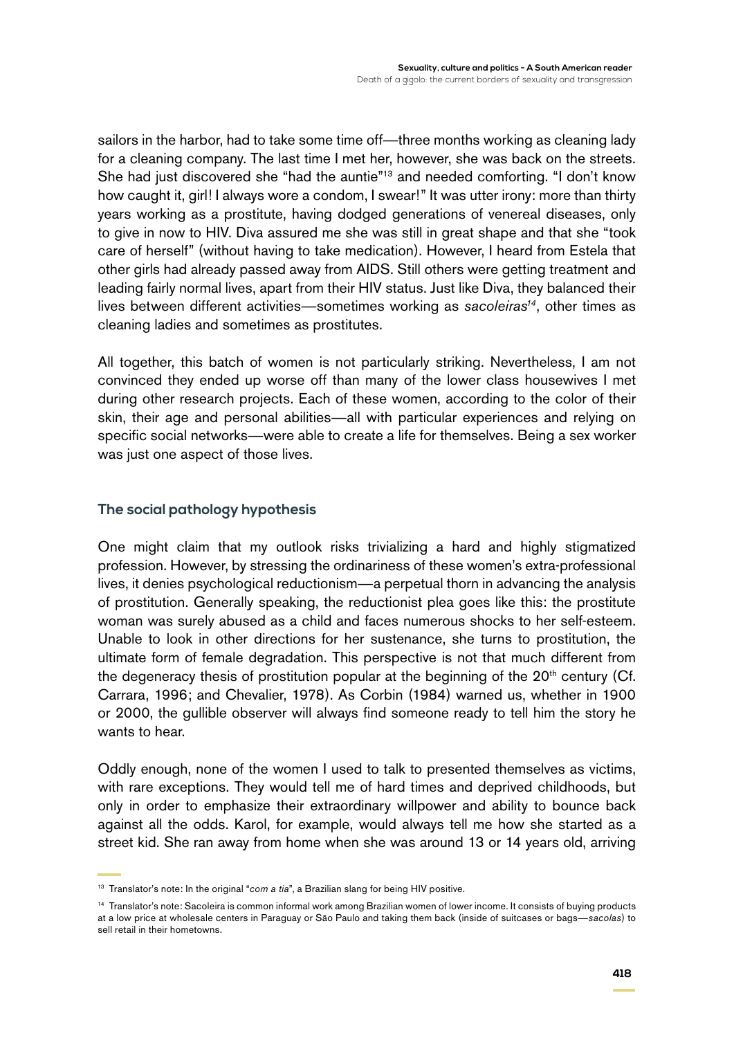sailors in the harbor, had to take some time off—three months working as cleaning lady for a cleaning company. The last time I met her, however, she was back on the streets. She had just discovered she "had the auntie"<sup>13</sup> and needed comforting. "I don't know how caught it, girl! I always wore a condom, I swear!" It was utter irony: more than thirty years working as a prostitute, having dodged generations of venereal diseases, only to give in now to HIV. Diva assured me she was still in great shape and that she "took care of herself" (without having to take medication). However, I heard from Estela that other girls had already passed away from AIDS. Still others were getting treatment and leading fairly normal lives, apart from their HIV status. Just like Diva, they balanced their lives between different activities—sometimes working as *sacoleiras14*, other times as cleaning ladies and sometimes as prostitutes.

All together, this batch of women is not particularly striking. Nevertheless, I am not convinced they ended up worse off than many of the lower class housewives I met during other research projects. Each of these women, according to the color of their skin, their age and personal abilities—all with particular experiences and relying on specific social networks—were able to create a life for themselves. Being a sex worker was just one aspect of those lives.

#### **The social pathology hypothesis**

One might claim that my outlook risks trivializing a hard and highly stigmatized profession. However, by stressing the ordinariness of these women's extra-professional lives, it denies psychological reductionism—a perpetual thorn in advancing the analysis of prostitution. Generally speaking, the reductionist plea goes like this: the prostitute woman was surely abused as a child and faces numerous shocks to her self-esteem. Unable to look in other directions for her sustenance, she turns to prostitution, the ultimate form of female degradation. This perspective is not that much different from the degeneracy thesis of prostitution popular at the beginning of the  $20<sup>th</sup>$  century (Cf. Carrara, 1996; and Chevalier, 1978). As Corbin (1984) warned us, whether in 1900 or 2000, the gullible observer will always find someone ready to tell him the story he wants to hear.

Oddly enough, none of the women I used to talk to presented themselves as victims, with rare exceptions. They would tell me of hard times and deprived childhoods, but only in order to emphasize their extraordinary willpower and ability to bounce back against all the odds. Karol, for example, would always tell me how she started as a street kid. She ran away from home when she was around 13 or 14 years old, arriving

<sup>&</sup>lt;sup>13</sup> Translator's note: In the original "*com a tia*", a Brazilian slang for being HIV positive.

<sup>&</sup>lt;sup>14</sup> Translator's note: Sacoleira is common informal work among Brazilian women of lower income. It consists of buying products at a low price at wholesale centers in Paraguay or São Paulo and taking them back (inside of suitcases or bags—*sacolas*) to sell retail in their hometowns.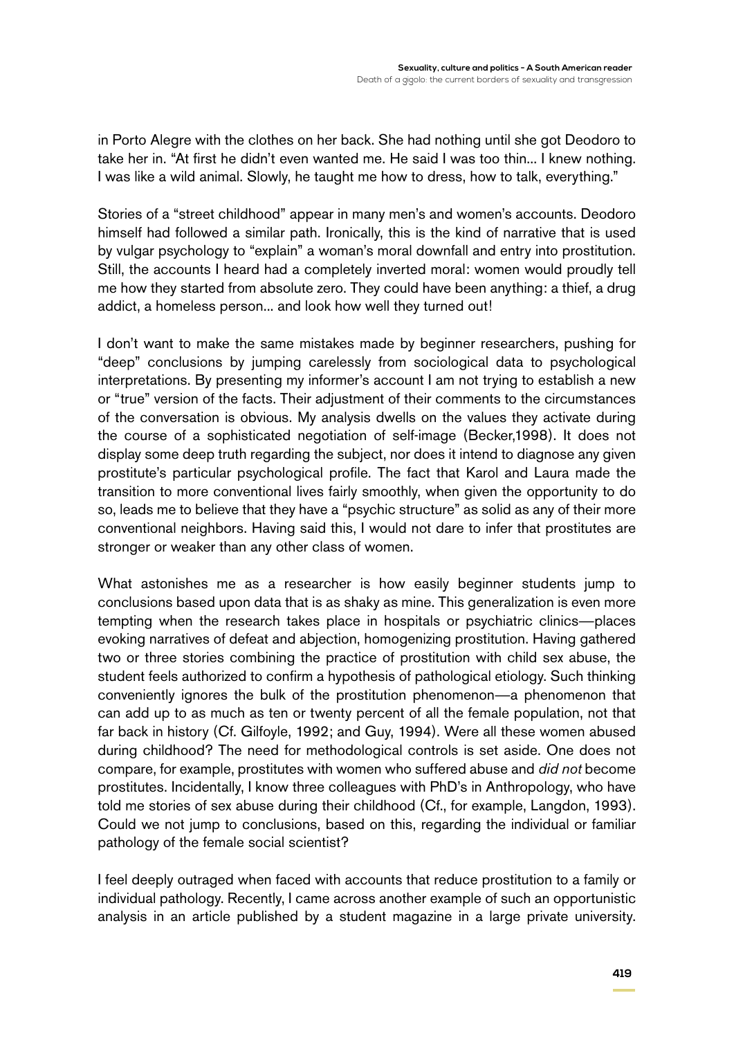in Porto Alegre with the clothes on her back. She had nothing until she got Deodoro to take her in. "At first he didn't even wanted me. He said I was too thin... I knew nothing. I was like a wild animal. Slowly, he taught me how to dress, how to talk, everything."

Stories of a "street childhood" appear in many men's and women's accounts. Deodoro himself had followed a similar path. Ironically, this is the kind of narrative that is used by vulgar psychology to "explain" a woman's moral downfall and entry into prostitution. Still, the accounts I heard had a completely inverted moral: women would proudly tell me how they started from absolute zero. They could have been anything: a thief, a drug addict, a homeless person... and look how well they turned out!

I don't want to make the same mistakes made by beginner researchers, pushing for "deep" conclusions by jumping carelessly from sociological data to psychological interpretations. By presenting my informer's account I am not trying to establish a new or "true" version of the facts. Their adjustment of their comments to the circumstances of the conversation is obvious. My analysis dwells on the values they activate during the course of a sophisticated negotiation of self-image (Becker,1998). It does not display some deep truth regarding the subject, nor does it intend to diagnose any given prostitute's particular psychological profile. The fact that Karol and Laura made the transition to more conventional lives fairly smoothly, when given the opportunity to do so, leads me to believe that they have a "psychic structure" as solid as any of their more conventional neighbors. Having said this, I would not dare to infer that prostitutes are stronger or weaker than any other class of women.

What astonishes me as a researcher is how easily beginner students jump to conclusions based upon data that is as shaky as mine. This generalization is even more tempting when the research takes place in hospitals or psychiatric clinics—places evoking narratives of defeat and abjection, homogenizing prostitution. Having gathered two or three stories combining the practice of prostitution with child sex abuse, the student feels authorized to confirm a hypothesis of pathological etiology. Such thinking conveniently ignores the bulk of the prostitution phenomenon—a phenomenon that can add up to as much as ten or twenty percent of all the female population, not that far back in history (Cf. Gilfoyle, 1992; and Guy, 1994). Were all these women abused during childhood? The need for methodological controls is set aside. One does not compare, for example, prostitutes with women who suffered abuse and *did not* become prostitutes. Incidentally, I know three colleagues with PhD's in Anthropology, who have told me stories of sex abuse during their childhood (Cf., for example, Langdon, 1993). Could we not jump to conclusions, based on this, regarding the individual or familiar pathology of the female social scientist?

I feel deeply outraged when faced with accounts that reduce prostitution to a family or individual pathology. Recently, I came across another example of such an opportunistic analysis in an article published by a student magazine in a large private university.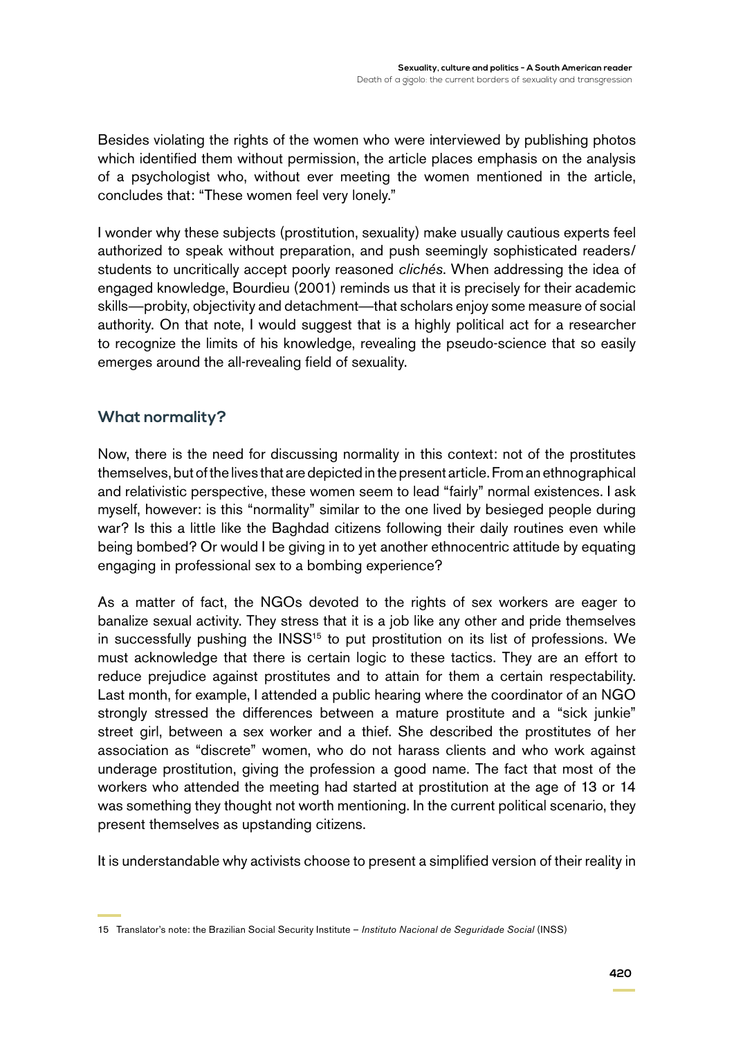Besides violating the rights of the women who were interviewed by publishing photos which identified them without permission, the article places emphasis on the analysis of a psychologist who, without ever meeting the women mentioned in the article, concludes that: "These women feel very lonely."

I wonder why these subjects (prostitution, sexuality) make usually cautious experts feel authorized to speak without preparation, and push seemingly sophisticated readers/ students to uncritically accept poorly reasoned *clichés*. When addressing the idea of engaged knowledge, Bourdieu (2001) reminds us that it is precisely for their academic skills—probity, objectivity and detachment—that scholars enjoy some measure of social authority. On that note, I would suggest that is a highly political act for a researcher to recognize the limits of his knowledge, revealing the pseudo-science that so easily emerges around the all-revealing field of sexuality.

### **What normality?**

Now, there is the need for discussing normality in this context: not of the prostitutes themselves, but of the lives that are depicted in the present article. From an ethnographical and relativistic perspective, these women seem to lead "fairly" normal existences. I ask myself, however: is this "normality" similar to the one lived by besieged people during war? Is this a little like the Baghdad citizens following their daily routines even while being bombed? Or would I be giving in to yet another ethnocentric attitude by equating engaging in professional sex to a bombing experience?

As a matter of fact, the NGOs devoted to the rights of sex workers are eager to banalize sexual activity. They stress that it is a job like any other and pride themselves in successfully pushing the INSS<sup>15</sup> to put prostitution on its list of professions. We must acknowledge that there is certain logic to these tactics. They are an effort to reduce prejudice against prostitutes and to attain for them a certain respectability. Last month, for example, I attended a public hearing where the coordinator of an NGO strongly stressed the differences between a mature prostitute and a "sick junkie" street girl, between a sex worker and a thief. She described the prostitutes of her association as "discrete" women, who do not harass clients and who work against underage prostitution, giving the profession a good name. The fact that most of the workers who attended the meeting had started at prostitution at the age of 13 or 14 was something they thought not worth mentioning. In the current political scenario, they present themselves as upstanding citizens.

It is understandable why activists choose to present a simplified version of their reality in

<sup>15</sup> Translator's note: the Brazilian Social Security Institute – *Instituto Nacional de Seguridade Social* (INSS)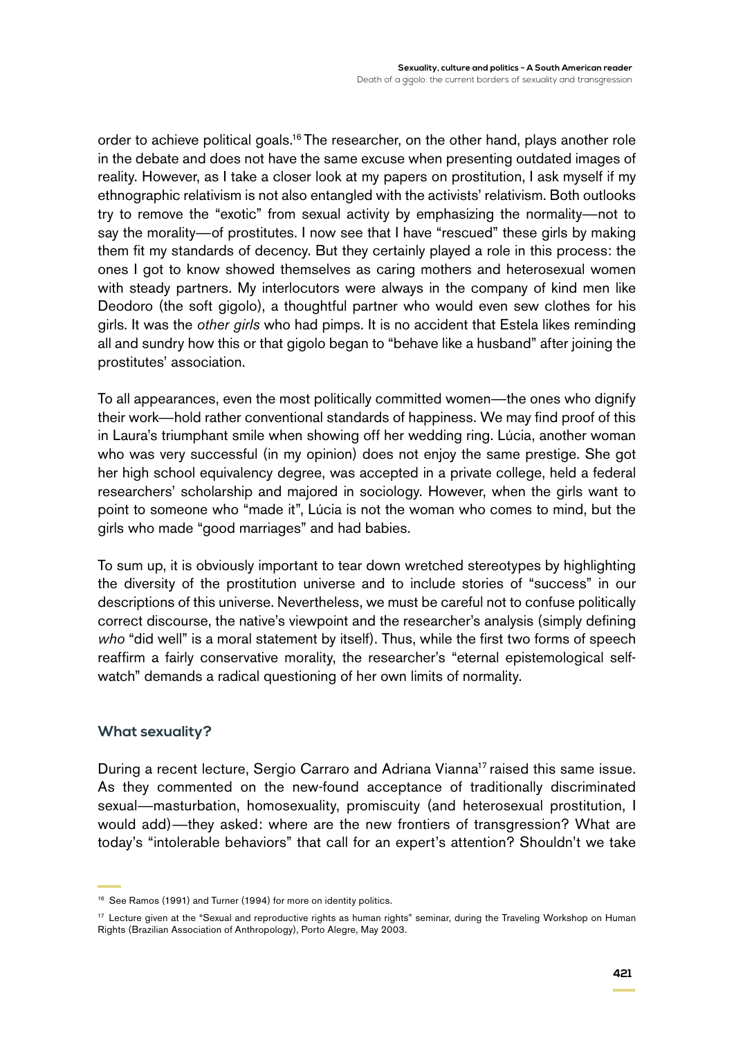order to achieve political goals.<sup>16</sup> The researcher, on the other hand, plays another role in the debate and does not have the same excuse when presenting outdated images of reality. However, as I take a closer look at my papers on prostitution, I ask myself if my ethnographic relativism is not also entangled with the activists' relativism. Both outlooks try to remove the "exotic" from sexual activity by emphasizing the normality—not to say the morality—of prostitutes. I now see that I have "rescued" these girls by making them fit my standards of decency. But they certainly played a role in this process: the ones I got to know showed themselves as caring mothers and heterosexual women with steady partners. My interlocutors were always in the company of kind men like Deodoro (the soft gigolo), a thoughtful partner who would even sew clothes for his girls. It was the *other girls* who had pimps. It is no accident that Estela likes reminding all and sundry how this or that gigolo began to "behave like a husband" after joining the prostitutes' association.

To all appearances, even the most politically committed women—the ones who dignify their work—hold rather conventional standards of happiness. We may find proof of this in Laura's triumphant smile when showing off her wedding ring. Lúcia, another woman who was very successful (in my opinion) does not enjoy the same prestige. She got her high school equivalency degree, was accepted in a private college, held a federal researchers' scholarship and majored in sociology. However, when the girls want to point to someone who "made it", Lúcia is not the woman who comes to mind, but the girls who made "good marriages" and had babies.

To sum up, it is obviously important to tear down wretched stereotypes by highlighting the diversity of the prostitution universe and to include stories of "success" in our descriptions of this universe. Nevertheless, we must be careful not to confuse politically correct discourse, the native's viewpoint and the researcher's analysis (simply defining *who* "did well" is a moral statement by itself). Thus, while the first two forms of speech reaffirm a fairly conservative morality, the researcher's "eternal epistemological selfwatch" demands a radical questioning of her own limits of normality.

#### **What sexuality?**

During a recent lecture, Sergio Carraro and Adriana Vianna<sup>17</sup> raised this same issue. As they commented on the new-found acceptance of traditionally discriminated sexual—masturbation, homosexuality, promiscuity (and heterosexual prostitution, I would add)—they asked: where are the new frontiers of transgression? What are today's "intolerable behaviors" that call for an expert's attention? Shouldn't we take

<sup>16</sup> See Ramos (1991) and Turner (1994) for more on identity politics.

<sup>&</sup>lt;sup>17</sup> Lecture given at the "Sexual and reproductive rights as human rights" seminar, during the Traveling Workshop on Human Rights (Brazilian Association of Anthropology), Porto Alegre, May 2003.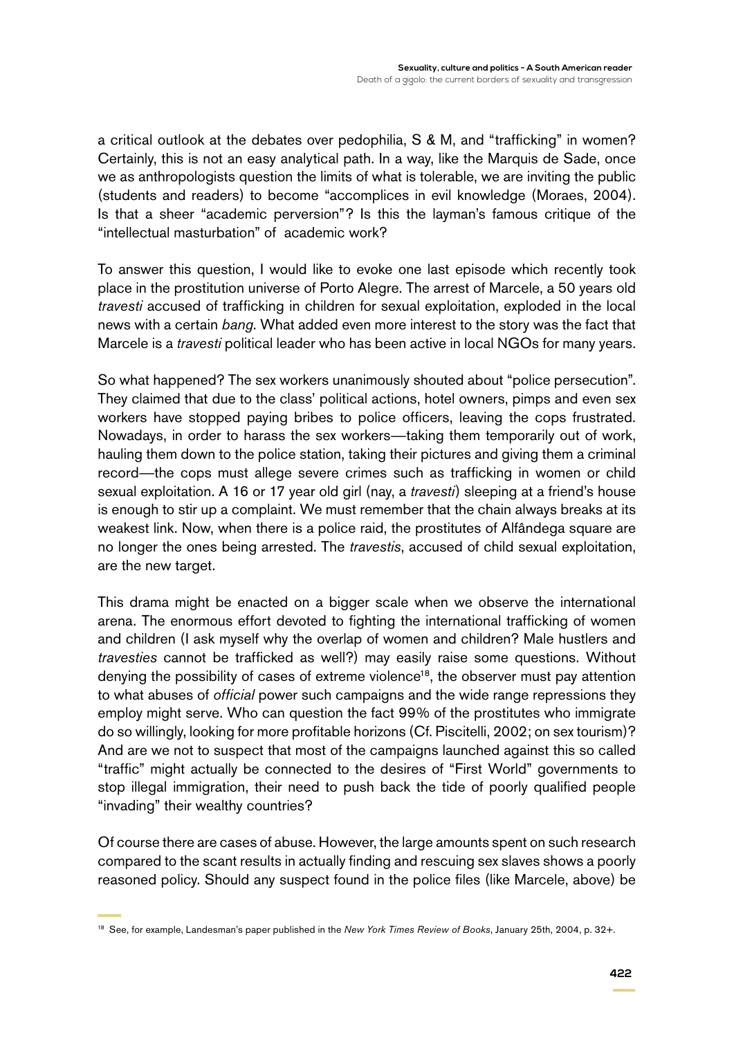a critical outlook at the debates over pedophilia, S & M, and "trafficking" in women? Certainly, this is not an easy analytical path. In a way, like the Marquis de Sade, once we as anthropologists question the limits of what is tolerable, we are inviting the public (students and readers) to become "accomplices in evil knowledge (Moraes, 2004). Is that a sheer "academic perversion"? Is this the layman's famous critique of the "intellectual masturbation" of academic work?

To answer this question, I would like to evoke one last episode which recently took place in the prostitution universe of Porto Alegre. The arrest of Marcele, a 50 years old *travesti* accused of trafficking in children for sexual exploitation, exploded in the local news with a certain *bang*. What added even more interest to the story was the fact that Marcele is a *travesti* political leader who has been active in local NGOs for many years.

So what happened? The sex workers unanimously shouted about "police persecution". They claimed that due to the class' political actions, hotel owners, pimps and even sex workers have stopped paying bribes to police officers, leaving the cops frustrated. Nowadays, in order to harass the sex workers—taking them temporarily out of work, hauling them down to the police station, taking their pictures and giving them a criminal record—the cops must allege severe crimes such as trafficking in women or child sexual exploitation. A 16 or 17 year old girl (nay, a *travesti*) sleeping at a friend's house is enough to stir up a complaint. We must remember that the chain always breaks at its weakest link. Now, when there is a police raid, the prostitutes of Alfândega square are no longer the ones being arrested. The *travestis*, accused of child sexual exploitation, are the new target.

This drama might be enacted on a bigger scale when we observe the international arena. The enormous effort devoted to fighting the international trafficking of women and children (I ask myself why the overlap of women and children? Male hustlers and *travesties* cannot be trafficked as well?) may easily raise some questions. Without denying the possibility of cases of extreme violence<sup>18</sup>, the observer must pay attention to what abuses of *official* power such campaigns and the wide range repressions they employ might serve. Who can question the fact 99% of the prostitutes who immigrate do so willingly, looking for more profitable horizons (Cf. Piscitelli, 2002; on sex tourism)? And are we not to suspect that most of the campaigns launched against this so called "traffic" might actually be connected to the desires of "First World" governments to stop illegal immigration, their need to push back the tide of poorly qualified people "invading" their wealthy countries?

Of course there are cases of abuse. However, the large amounts spent on such research compared to the scant results in actually finding and rescuing sex slaves shows a poorly reasoned policy. Should any suspect found in the police files (like Marcele, above) be

<sup>18</sup> See, for example, Landesman's paper published in the *New York Times Review of Books*, January 25th, 2004, p. 32+.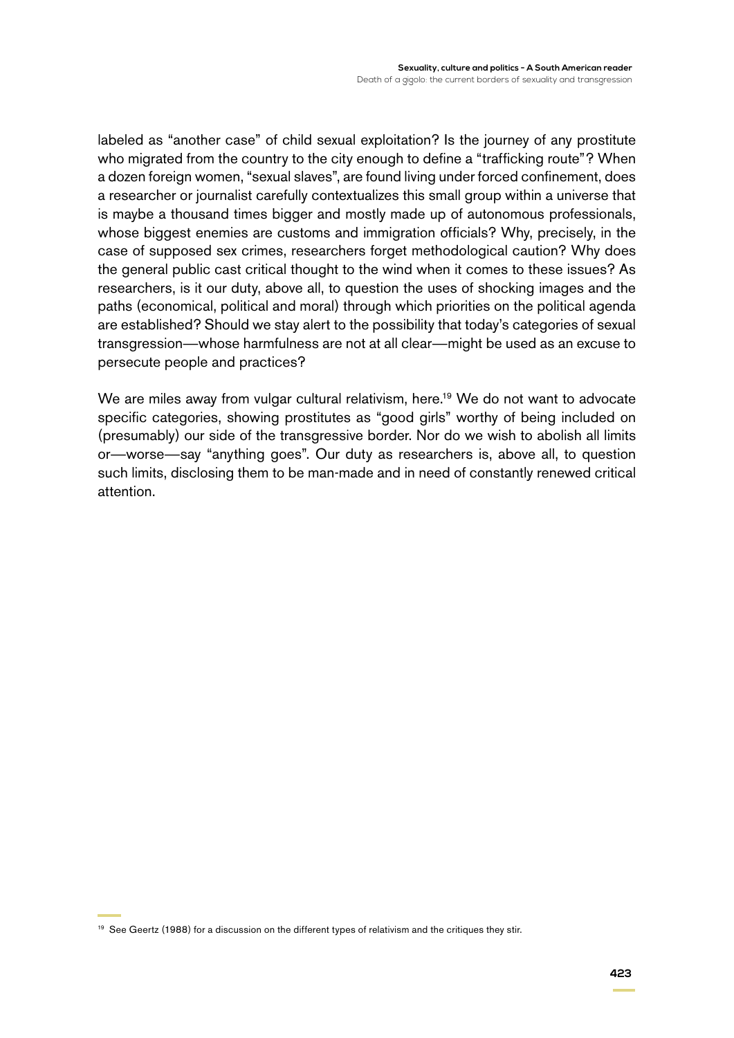labeled as "another case" of child sexual exploitation? Is the journey of any prostitute who migrated from the country to the city enough to define a "trafficking route"? When a dozen foreign women, "sexual slaves", are found living under forced confinement, does a researcher or journalist carefully contextualizes this small group within a universe that is maybe a thousand times bigger and mostly made up of autonomous professionals, whose biggest enemies are customs and immigration officials? Why, precisely, in the case of supposed sex crimes, researchers forget methodological caution? Why does the general public cast critical thought to the wind when it comes to these issues? As researchers, is it our duty, above all, to question the uses of shocking images and the paths (economical, political and moral) through which priorities on the political agenda are established? Should we stay alert to the possibility that today's categories of sexual transgression—whose harmfulness are not at all clear—might be used as an excuse to persecute people and practices?

We are miles away from vulgar cultural relativism, here.<sup>19</sup> We do not want to advocate specific categories, showing prostitutes as "good girls" worthy of being included on (presumably) our side of the transgressive border. Nor do we wish to abolish all limits or—worse—say "anything goes". Our duty as researchers is, above all, to question such limits, disclosing them to be man-made and in need of constantly renewed critical attention.

<sup>19</sup> See Geertz (1988) for a discussion on the different types of relativism and the critiques they stir.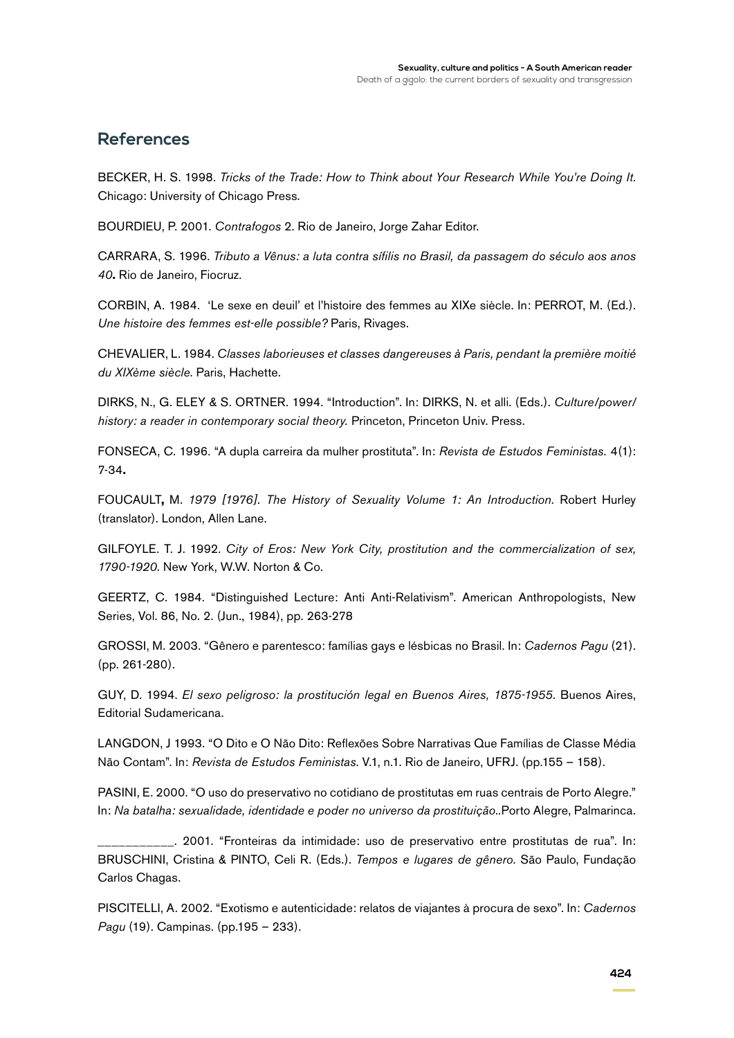### **References**

BECKER, H. S. 1998. *Tricks of the Trade: How to Think about Your Research While You're Doing It*. Chicago: University of Chicago Press*.*

BOURDIEU, P. 2001. *Contrafogos* 2. Rio de Janeiro, Jorge Zahar Editor.

CARRARA, S. 1996. *Tributo a Vênus: a luta contra sífilis no Brasil, da passagem do século aos anos 40***.** Rio de Janeiro, Fiocruz.

CORBIN, A. 1984. 'Le sexe en deuil' et l'histoire des femmes au XIXe siècle. In: PERROT, M. (Ed.). *Une histoire des femmes est-elle possible?* Paris, Rivages.

CHEVALIER, L. 1984. *Classes laborieuses et classes dangereuses à Paris, pendant la première moitié du XIXème siècle*. Paris, Hachette.

DIRKS, N., G. ELEY & S. ORTNER. 1994. "Introduction". In: DIRKS, N. et alli. (Eds.). *Culture/power/ history: a reader in contemporary social theory.* Princeton, Princeton Univ. Press.

FONSECA, C. 1996. "A dupla carreira da mulher prostituta". In: *Revista de Estudos Feministas.* 4(1): 7-34**.**

FOUCAULT**,** M. *1979 [1976]. The History of Sexuality Volume 1: An Introduction.* Robert Hurley (translator). London, Allen Lane.

GILFOYLE. T. J. 1992. *City of Eros: New York City, prostitution and the commercialization of sex, 1790-1920*. New York, W.W. Norton & Co.

GEERTZ, C. 1984. "Distinguished Lecture: Anti Anti-Relativism". American Anthropologists, New Series, Vol. 86, No. 2. (Jun., 1984), pp. 263-278

GROSSI, M. 2003. "Gênero e parentesco: famílias gays e lésbicas no Brasil. In: *Cadernos Pagu* (21). (pp. 261-280).

GUY, D. 1994. *El sexo peligroso: la prostitución legal en Buenos Aires, 1875-1955.* Buenos Aires, Editorial Sudamericana.

LANGDON, J 1993. "O Dito e O Não Dito: Reflexões Sobre Narrativas Que Famílias de Classe Média Não Contam". In: *Revista de Estudos Feministas*. V.1, n.1. Rio de Janeiro, UFRJ. (pp.155 – 158).

PASINI, E. 2000. "O uso do preservativo no cotidiano de prostitutas em ruas centrais de Porto Alegre." In: *Na batalha: sexualidade, identidade e poder no universo da prostituição*..Porto Alegre, Palmarinca.

\_\_\_\_\_\_\_\_\_\_\_. 2001. "Fronteiras da intimidade: uso de preservativo entre prostitutas de rua". In: BRUSCHINI, Cristina & PINTO, Celi R. (Eds.). *Tempos e lugares de gênero.* São Paulo, Fundação Carlos Chagas.

PISCITELLI, A. 2002. "Exotismo e autenticidade: relatos de viajantes à procura de sexo". In: *Cadernos Pagu* (19). Campinas. (pp.195 – 233).